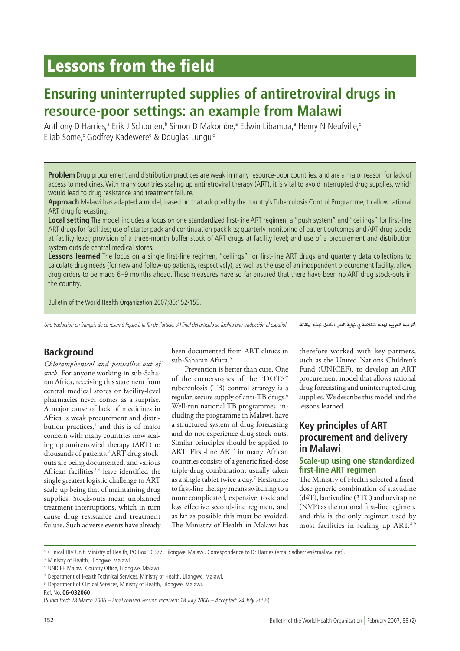# Lessons from the field

# **Ensuring uninterrupted supplies of antiretroviral drugs in resource-poor settings: an example from Malawi**

Anthony D Harries,<sup>a</sup> Erik J Schouten,<sup>b</sup> Simon D Makombe,<sup>a</sup> Edwin Libamba,<sup>a</sup> Henry N Neufville,<sup>c</sup> Eliab Some,<sup>c</sup> Godfrey Kadewere<sup>d</sup> & Douglas Lungu<sup>e</sup>

**Problem** Drug procurement and distribution practices are weak in many resource-poor countries, and are a major reason for lack of access to medicines. With many countries scaling up antiretroviral therapy (ART), it is vital to avoid interrupted drug supplies, which would lead to drug resistance and treatment failure.

**Approach** Malawi has adapted a model, based on that adopted by the country's Tuberculosis Control Programme, to allow rational ART drug forecasting.

**Local setting** The model includes a focus on one standardized first-line ART regimen; a "push system" and "ceilings" for first-line ART drugs for facilities; use of starter pack and continuation pack kits; quarterly monitoring of patient outcomes and ART drug stocks at facility level; provision of a three-month buffer stock of ART drugs at facility level; and use of a procurement and distribution system outside central medical stores.

**Lessons learned** The focus on a single first-line regimen, "ceilings" for first-line ART drugs and quarterly data collections to calculate drug needs (for new and follow-up patients, respectively), as well as the use of an independent procurement facility, allow drug orders to be made 6–9 months ahead. These measures have so far ensured that there have been no ART drug stock-outs in the country.

Bulletin of the World Health Organization 2007;85:152-155.

Une traduction en français de ce résumé figure à la fin de l'article. Al final del artículo se facilita una traducción al español.

*الرتجمة العربية لهذه الخالصة يف نهاية النص الكامل لهذه املقالة.*

## **Background**

*Chloramphenicol and penicillin out of stock*. For anyone working in sub-Saharan Africa, receiving this statement from central medical stores or facility-level pharmacies never comes as a surprise. A major cause of lack of medicines in Africa is weak procurement and distribution practices,<sup>1</sup> and this is of major concern with many countries now scaling up antiretroviral therapy (ART) to thousands of patients.2 ART drug stockouts are being documented, and various African facilities 3,4 have identified the single greatest logistic challenge to ART scale-up being that of maintaining drug supplies. Stock-outs mean unplanned treatment interruptions, which in turn cause drug resistance and treatment failure. Such adverse events have already

been documented from ART clinics in sub-Saharan Africa.<sup>5</sup>

Prevention is better than cure. One of the cornerstones of the "DOTS" tuberculosis (TB) control strategy is a regular, secure supply of anti-TB drugs.6 Well-run national TB programmes, including the programme in Malawi, have a structured system of drug forecasting and do not experience drug stock-outs. Similar principles should be applied to ART. First-line ART in many African countries consists of a generic fixed-dose triple-drug combination, usually taken as a single tablet twice a day.7 Resistance to first-line therapy means switching to a more complicated, expensive, toxic and less effective second-line regimen, and as far as possible this must be avoided. The Ministry of Health in Malawi has therefore worked with key partners, such as the United Nations Children's Fund (UNICEF), to develop an ART procurement model that allows rational drug forecasting and uninterrupted drug supplies. We describe this model and the lessons learned.

## **Key principles of ART procurement and delivery in Malawi**

#### **Scale-up using one standardized first-line ART regimen**

The Ministry of Health selected a fixeddose generic combination of stavudine (d4T), lamivudine (3TC) and nevirapine (NVP) as the national first-line regimen, and this is the only regimen used by most facilities in scaling up ART.8,9

<sup>a</sup> Clinical HIV Unit, Ministry of Health, PO Box 30377, Lilongwe, Malawi. Correspondence to Dr Harries (email: adharries@malawi.net).

**b** Ministry of Health, Lilongwe, Malawi.

<sup>c</sup> UNICEF, Malawi Country Office, Lilongwe, Malawi.

<sup>d</sup> Department of Health Technical Services, Ministry of Health, Lilongwe, Malawi.

<sup>e</sup> Department of Clinical Services, Ministry of Health, Lilongwe, Malawi.

Ref. No. **06-032060**

<sup>(</sup>Submitted: 28 March 2006 – Final revised version received: 18 July 2006 – Accepted: 24 July 2006)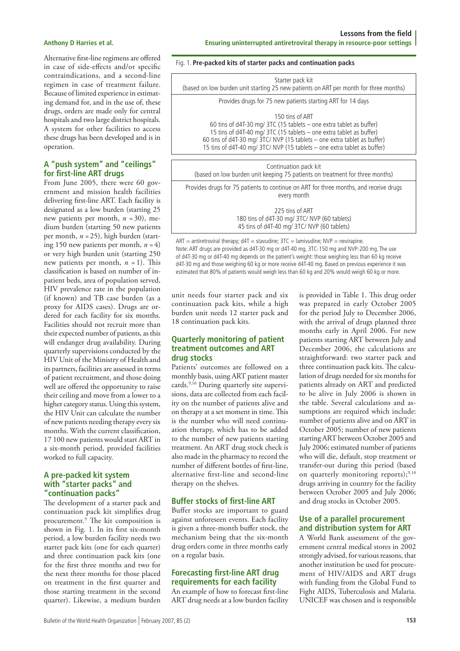Alternative first-line regimens are offered in case of side-effects and/or specific contraindications, and a second-line regimen in case of treatment failure. Because of limited experience in estimating demand for, and in the use of, these drugs, orders are made only for central hospitals and two large district hospitals. A system for other facilities to access these drugs has been developed and is in operation.

#### **A "push system" and "ceilings" for first-line ART drugs**

From June 2005, there were 60 government and mission health facilities delivering first-line ART. Each facility is designated as a low burden (starting 25 new patients per month, *n* = 30), medium burden (starting 50 new patients per month, *n* = 25), high burden (starting 150 new patients per month,  $n = 4$ ) or very high burden unit (starting 250 new patients per month,  $n = 1$ ). This classification is based on number of inpatient beds, area of population served, HIV prevalence rate in the population (if known) and TB case burden (as a proxy for AIDS cases). Drugs are ordered for each facility for six months. Facilities should not recruit more than their expected number of patients, as this will endanger drug availability. During quarterly supervisions conducted by the HIV Unit of the Ministry of Health and its partners, facilities are assessed in terms of patient recruitment, and those doing well are offered the opportunity to raise their ceiling and move from a lower to a higher category status. Using this system, the HIV Unit can calculate the number of new patients needing therapy every six months. With the current classification, 17 100 new patients would start ART in a six-month period, provided facilities worked to full capacity.

#### **A pre-packed kit system with "starter packs" and "continuation packs"**

The development of a starter pack and continuation pack kit simplifies drug procurement.9 The kit composition is shown in Fig. 1. In its first six-month period, a low burden facility needs two starter pack kits (one for each quarter) and three continuation pack kits (one for the first three months and two for the next three months for those placed on treatment in the first quarter and those starting treatment in the second quarter). Likewise, a medium burden

#### Fig. 1. **Pre-packed kits of starter packs and continuation packs**

| Starter pack kit<br>(based on low burden unit starting 25 new patients on ART per month for three months)                                                                                                                                                                                                               |  |
|-------------------------------------------------------------------------------------------------------------------------------------------------------------------------------------------------------------------------------------------------------------------------------------------------------------------------|--|
| Provides drugs for 75 new patients starting ART for 14 days                                                                                                                                                                                                                                                             |  |
| 150 tins of ART<br>60 tins of d4T-30 mg/ 3TC (15 tablets $-$ one extra tablet as buffer)<br>15 tins of d4T-40 mg/ 3TC (15 tablets - one extra tablet as buffer)<br>60 tins of d4T-30 mg/ 3TC/ NVP (15 tablets - one extra tablet as buffer)<br>15 tins of d4T-40 mg/ 3TC/ NVP (15 tablets - one extra tablet as buffer) |  |
| Continuation pack kit<br>(based on low burden unit keeping 75 patients on treatment for three months)                                                                                                                                                                                                                   |  |
| Provides drugs for 75 patients to continue on ART for three months, and receive drugs<br>every month                                                                                                                                                                                                                    |  |
| 225 tins of ART<br>180 tins of d4T-30 mg/ 3TC/ NVP (60 tablets)<br>45 tins of d4T-40 mg/ 3TC/ NVP (60 tablets)                                                                                                                                                                                                          |  |

 $ART = antiretroviral therapy; d4T = stavudine; 3TC = laminivudine; NVP = nevirapine.$ Note: ART drugs are provided as d4T-30 mg or d4T-40 mg, 3TC-150 mg and NVP-200 mg. The use of d4T-30 mg or d4T-40 mg depends on the patient's weight: those weighing less than 60 kg receive d4T-30 mg and those weighing 60 kg or more receive d4T-40 mg. Based on previous experience it was estimated that 80% of patients would weigh less than 60 kg and 20% would weigh 60 kg or more.

unit needs four starter pack and six continuation pack kits, while a high burden unit needs 12 starter pack and 18 continuation pack kits.

#### **Quarterly monitoring of patient treatment outcomes and ART drug stocks**

Patients' outcomes are followed on a monthly basis, using ART patient master cards.<sup>9,10</sup> During quarterly site supervisions, data are collected from each facility on the number of patients alive and on therapy at a set moment in time. This is the number who will need continuation therapy, which has to be added to the number of new patients starting treatment. An ART drug stock check is also made in the pharmacy to record the number of different bottles of first-line, alternative first-line and second-line therapy on the shelves.

### **Buffer stocks of first-line ART**

Buffer stocks are important to guard against unforeseen events. Each facility is given a three-month buffer stock, the mechanism being that the six-month drug orders come in three months early on a regular basis.

#### **Forecasting first-line ART drug requirements for each facility** An example of how to forecast first-line

ART drug needs at a low burden facility

is provided in Table 1. This drug order was prepared in early October 2005 for the period July to December 2006, with the arrival of drugs planned three months early in April 2006. For new patients starting ART between July and December 2006, the calculations are straightforward: two starter pack and three continuation pack kits. The calculation of drugs needed for six months for patients already on ART and predicted to be alive in July 2006 is shown in the table. Several calculations and assumptions are required which include: number of patients alive and on ART in October 2005; number of new patients starting ART between October 2005 and July 2006; estimated number of patients who will die, default, stop treatment or transfer-out during this period (based on quarterly monitoring reports); $9,10$ drugs arriving in country for the facility between October 2005 and July 2006; and drug stocks in October 2005.

### **Use of a parallel procurement and distribution system for ART**

A World Bank assessment of the government central medical stores in 2002 strongly advised, for various reasons, that another institution be used for procurement of HIV/AIDS and ART drugs with funding from the Global Fund to Fight AIDS, Tuberculosis and Malaria. UNICEF was chosen and is responsible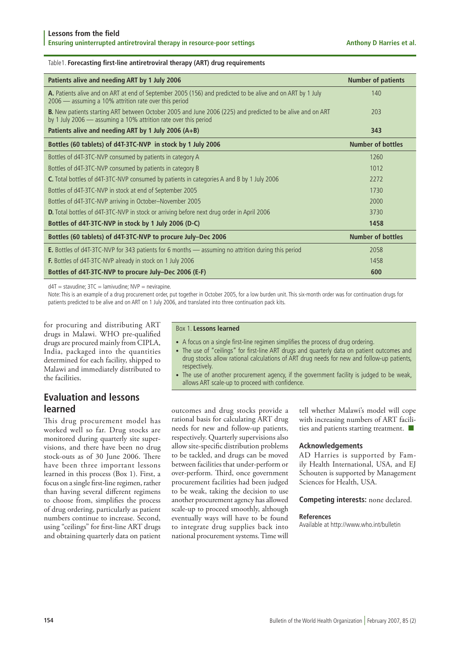#### Table1. **Forecasting first-line antiretroviral therapy (ART) drug requirements**

| Patients alive and needing ART by 1 July 2006                                                                                                                                        | <b>Number of patients</b> |
|--------------------------------------------------------------------------------------------------------------------------------------------------------------------------------------|---------------------------|
| A. Patients alive and on ART at end of September 2005 (156) and predicted to be alive and on ART by 1 July<br>2006 — assuming a 10% attrition rate over this period                  | 140                       |
| <b>B.</b> New patients starting ART between October 2005 and June 2006 (225) and predicted to be alive and on ART<br>by 1 July 2006 - assuming a 10% attrition rate over this period | 203                       |
| Patients alive and needing ART by 1 July 2006 $(A+B)$                                                                                                                                | 343                       |
| Bottles (60 tablets) of d4T-3TC-NVP in stock by 1 July 2006                                                                                                                          | <b>Number of bottles</b>  |
| Bottles of d4T-3TC-NVP consumed by patients in category A                                                                                                                            | 1260                      |
| Bottles of d4T-3TC-NVP consumed by patients in category B                                                                                                                            | 1012                      |
| <b>C.</b> Total bottles of d4T-3TC-NVP consumed by patients in categories A and B by 1 July 2006                                                                                     | 2272                      |
| Bottles of d4T-3TC-NVP in stock at end of September 2005                                                                                                                             | 1730                      |
| Bottles of d4T-3TC-NVP arriving in October-November 2005                                                                                                                             | 2000                      |
| <b>D.</b> Total bottles of d4T-3TC-NVP in stock or arriving before next drug order in April 2006                                                                                     | 3730                      |
| Bottles of d4T-3TC-NVP in stock by 1 July 2006 (D-C)                                                                                                                                 | 1458                      |
| Bottles (60 tablets) of d4T-3TC-NVP to procure July-Dec 2006                                                                                                                         | <b>Number of bottles</b>  |
| <b>E.</b> Bottles of d4T-3TC-NVP for 343 patients for 6 months — assuming no attrition during this period                                                                            | 2058                      |
| <b>F.</b> Bottles of d4T-3TC-NVP already in stock on 1 July 2006                                                                                                                     | 1458                      |
| Bottles of d4T-3TC-NVP to procure July-Dec 2006 (E-F)                                                                                                                                | 600                       |

 $d4T =$  stavudine:  $3TC =$  lamivudine:  $NVP =$  nevirapine.

Note: This is an example of a drug procurement order, put together in October 2005, for a low burden unit. This six-month order was for continuation drugs for patients predicted to be alive and on ART on 1 July 2006, and translated into three continuation pack kits.

for procuring and distributing ART drugs in Malawi. WHO pre-qualified drugs are procured mainly from CIPLA, India, packaged into the quantities determined for each facility, shipped to Malawi and immediately distributed to the facilities.

# **Evaluation and lessons learned**

This drug procurement model has worked well so far. Drug stocks are monitored during quarterly site supervisions, and there have been no drug stock-outs as of 30 June 2006. There have been three important lessons learned in this process (Box 1). First, a focus on a single first-line regimen, rather than having several different regimens to choose from, simplifies the process of drug ordering, particularly as patient numbers continue to increase. Second, using "ceilings" for first-line ART drugs and obtaining quarterly data on patient

#### Box 1. **Lessons learned**

- A focus on a single first-line regimen simplifies the process of drug ordering.
- The use of "ceilings" for first-line ART drugs and quarterly data on patient outcomes and drug stocks allow rational calculations of ART drug needs for new and follow-up patients, respectively.
- The use of another procurement agency, if the government facility is judged to be weak, allows ART scale-up to proceed with confidence.

outcomes and drug stocks provide a rational basis for calculating ART drug needs for new and follow-up patients, respectively. Quarterly supervisions also allow site-specific distribution problems to be tackled, and drugs can be moved between facilities that under-perform or over-perform. Third, once government procurement facilities had been judged to be weak, taking the decision to use another procurement agency has allowed scale-up to proceed smoothly, although eventually ways will have to be found to integrate drug supplies back into national procurement systems. Time will

tell whether Malawi's model will cope with increasing numbers of ART facilities and patients starting treatment.  $\blacksquare$ 

#### **Acknowledgements**

AD Harries is supported by Family Health International, USA, and EJ Schouten is supported by Management Sciences for Health, USA.

#### **Competing interests:** none declared.

#### **References**

Available at http://www.who.int/bulletin